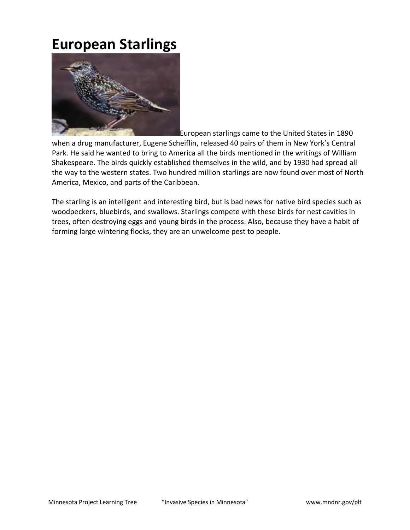## **European Starlings**



European starlings came to the United States in 1890

when a drug manufacturer, Eugene Scheiflin, released 40 pairs of them in New York's Central Park. He said he wanted to bring to America all the birds mentioned in the writings of William Shakespeare. The birds quickly established themselves in the wild, and by 1930 had spread all the way to the western states. Two hundred million starlings are now found over most of North America, Mexico, and parts of the Caribbean.

The starling is an intelligent and interesting bird, but is bad news for native bird species such as woodpeckers, bluebirds, and swallows. Starlings compete with these birds for nest cavities in trees, often destroying eggs and young birds in the process. Also, because they have a habit of forming large wintering flocks, they are an unwelcome pest to people.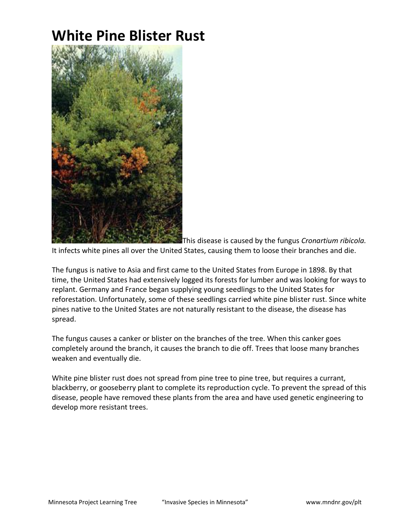# **White Pine Blister Rust**



This disease is caused by the fungus *Cronartium ribicola.*

It infects white pines all over the United States, causing them to loose their branches and die.

The fungus is native to Asia and first came to the United States from Europe in 1898. By that time, the United States had extensively logged its forests for lumber and was looking for ways to replant. Germany and France began supplying young seedlings to the United States for reforestation. Unfortunately, some of these seedlings carried white pine blister rust. Since white pines native to the United States are not naturally resistant to the disease, the disease has spread.

The fungus causes a canker or blister on the branches of the tree. When this canker goes completely around the branch, it causes the branch to die off. Trees that loose many branches weaken and eventually die.

White pine blister rust does not spread from pine tree to pine tree, but requires a currant, blackberry, or gooseberry plant to complete its reproduction cycle. To prevent the spread of this disease, people have removed these plants from the area and have used genetic engineering to develop more resistant trees.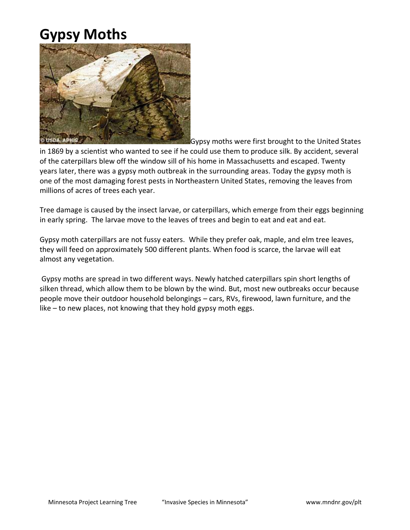# **Gypsy Moths**



Gypsy moths were first brought to the United States

in 1869 by a scientist who wanted to see if he could use them to produce silk. By accident, several of the caterpillars blew off the window sill of his home in Massachusetts and escaped. Twenty years later, there was a gypsy moth outbreak in the surrounding areas. Today the gypsy moth is one of the most damaging forest pests in Northeastern United States, removing the leaves from millions of acres of trees each year.

Tree damage is caused by the insect larvae, or caterpillars, which emerge from their eggs beginning in early spring. The larvae move to the leaves of trees and begin to eat and eat and eat.

Gypsy moth caterpillars are not fussy eaters. While they prefer oak, maple, and elm tree leaves, they will feed on approximately 500 different plants. When food is scarce, the larvae will eat almost any vegetation.

Gypsy moths are spread in two different ways. Newly hatched caterpillars spin short lengths of silken thread, which allow them to be blown by the wind. But, most new outbreaks occur because people move their outdoor household belongings – cars, RVs, firewood, lawn furniture, and the like – to new places, not knowing that they hold gypsy moth eggs.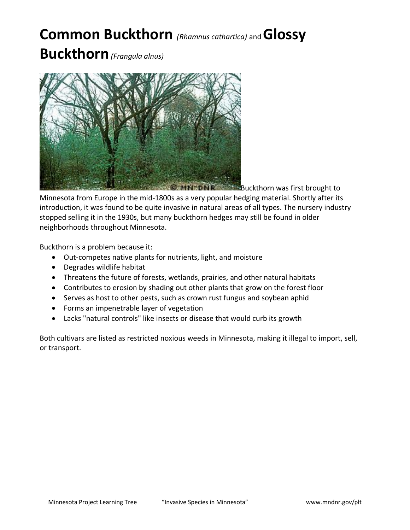# **Common Buckthorn** *(Rhamnus cathartica)* and **Glossy**

**Buckthorn***(Frangula alnus)*



**MNSDNR Buckthorn was first brought to** Minnesota from Europe in the mid-1800s as a very popular hedging material. Shortly after its introduction, it was found to be quite invasive in natural areas of all types. The nursery industry stopped selling it in the 1930s, but many buckthorn hedges may still be found in older neighborhoods throughout Minnesota.

Buckthorn is a problem because it:

- Out-competes native plants for nutrients, light, and moisture
- Degrades wildlife habitat
- Threatens the future of forests, wetlands, prairies, and other natural habitats
- Contributes to erosion by shading out other plants that grow on the forest floor
- Serves as host to other pests, such as crown rust fungus and soybean aphid
- Forms an impenetrable layer of vegetation
- Lacks "natural controls" like insects or disease that would curb its growth

Both cultivars are listed as restricted noxious weeds in Minnesota, making it illegal to import, sell, or transport.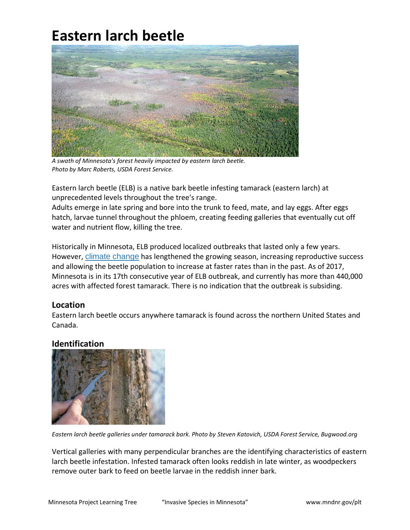# **Eastern larch beetle**



*A swath of Minnesota's forest heavily impacted by eastern larch beetle. Photo by Marc Roberts, USDA Forest Service.*

Eastern larch beetle (ELB) is a native bark beetle infesting tamarack (eastern larch) at unprecedented levels throughout the tree's range.

Adults emerge in late spring and bore into the trunk to feed, mate, and lay eggs. After eggs hatch, larvae tunnel throughout the phloem, creating feeding galleries that eventually cut off water and nutrient flow, killing the tree.

Historically in Minnesota, ELB produced localized outbreaks that lasted only a few years. However, [climate change](http://www.myminnesotawoods.umn.edu/2016/04/11301/) has lengthened the growing season, increasing reproductive success and allowing the beetle population to increase at faster rates than in the past. As of 2017, Minnesota is in its 17th consecutive year of ELB outbreak, and currently has more than 440,000 acres with affected forest tamarack. There is no indication that the outbreak is subsiding.

#### **Location**

Eastern larch beetle occurs anywhere tamarack is found across the northern United States and Canada.

#### **Identification**



*Eastern larch beetle galleries under tamarack bark. Photo by Steven Katovich, USDA Forest Service, Bugwood.org*

Vertical galleries with many perpendicular branches are the identifying characteristics of eastern larch beetle infestation. Infested tamarack often looks reddish in late winter, as woodpeckers remove outer bark to feed on beetle larvae in the reddish inner bark.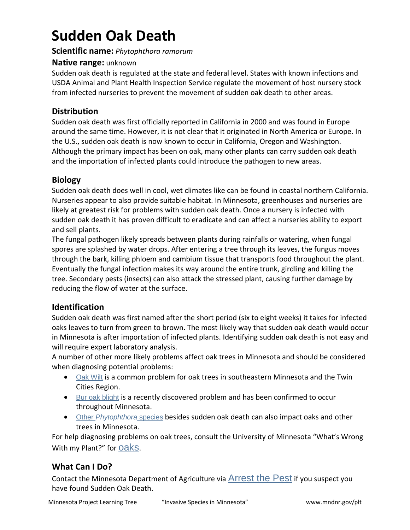# **Sudden Oak Death**

#### **Scientific name:** *Phytophthora ramorum*

#### **Native range:** unknown

Sudden oak death is regulated at the state and federal level. States with known infections and USDA Animal and Plant Health Inspection Service regulate the movement of host nursery stock from infected nurseries to prevent the movement of sudden oak death to other areas.

#### **Distribution**

Sudden oak death was first officially reported in California in 2000 and was found in Europe around the same time. However, it is not clear that it originated in North America or Europe. In the U.S., sudden oak death is now known to occur in California, Oregon and Washington. Although the primary impact has been on oak, many other plants can carry sudden oak death and the importation of infected plants could introduce the pathogen to new areas.

#### **Biology**

Sudden oak death does well in cool, wet climates like can be found in coastal northern California. Nurseries appear to also provide suitable habitat. In Minnesota, greenhouses and nurseries are likely at greatest risk for problems with sudden oak death. Once a nursery is infected with sudden oak death it has proven difficult to eradicate and can affect a nurseries ability to export and sell plants.

The fungal pathogen likely spreads between plants during rainfalls or watering, when fungal spores are splashed by water drops. After entering a tree through its leaves, the fungus moves through the bark, killing phloem and cambium tissue that transports food throughout the plant. Eventually the fungal infection makes its way around the entire trunk, girdling and killing the tree. Secondary pests (insects) can also attack the stressed plant, causing further damage by reducing the flow of water at the surface.

#### **Identification**

Sudden oak death was first named after the short period (six to eight weeks) it takes for infected oaks leaves to turn from green to brown. The most likely way that sudden oak death would occur in Minnesota is after importation of infected plants. Identifying sudden oak death is not easy and will require expert laboratory analysis.

A number of other more likely problems affect oak trees in Minnesota and should be considered when diagnosing potential problems:

- [Oak Wilt](http://www.extension.umn.edu/environment/trees-woodlands/oak-wilt-in-minnesota/) is a common problem for oak trees in southeastern Minnesota and the Twin Cities Region.
- [Bur oak blight](http://www.myminnesotawoods.umn.edu/2010/09/bur-oak-blight-bob-in-minnesota/) is a recently discovered problem and has been confirmed to occur throughout Minnesota.
- Other *[Phytophthora](http://forestpathology.cfans.umn.edu/PhytophthoraMinnesota.htm)* species besides sudden oak death can also impact oaks and other trees in Minnesota.

For help diagnosing problems on oak trees, consult the University of Minnesota "What's Wrong With my Plant?" for [oaks](http://www.extension.umn.edu/garden/diagnose/plant/deciduous/oak/).

#### **What Can I Do?**

Contact the Minnesota Department of Agriculture via [Arrest the Pest](https://www.mda.state.mn.us/en/plants/pestmanagement/arrestthepest.aspx) if you suspect you have found Sudden Oak Death.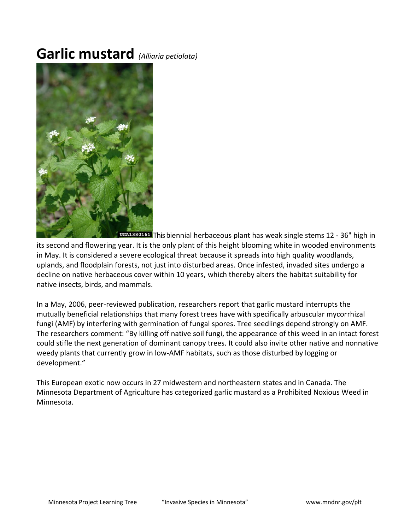### **Garlic mustard** *(Alliaria petiolata)*



**TUGA1380161** This biennial herbaceous plant has weak single stems 12 - 36" high in

its second and flowering year. It is the only plant of this height blooming white in wooded environments in May. It is considered a severe ecological threat because it spreads into high quality woodlands, uplands, and floodplain forests, not just into disturbed areas. Once infested, invaded sites undergo a decline on native herbaceous cover within 10 years, which thereby alters the habitat suitability for native insects, birds, and mammals.

In a May, 2006, peer-reviewed publication, researchers report that garlic mustard interrupts the mutually beneficial relationships that many forest trees have with specifically arbuscular mycorrhizal fungi (AMF) by interfering with germination of fungal spores. Tree seedlings depend strongly on AMF. The researchers comment: "By killing off native soil fungi, the appearance of this weed in an intact forest could stifle the next generation of dominant canopy trees. It could also invite other native and nonnative weedy plants that currently grow in low-AMF habitats, such as those disturbed by logging or development."

This European exotic now occurs in 27 midwestern and northeastern states and in Canada. The Minnesota Department of Agriculture has categorized garlic mustard as a Prohibited Noxious Weed in Minnesota.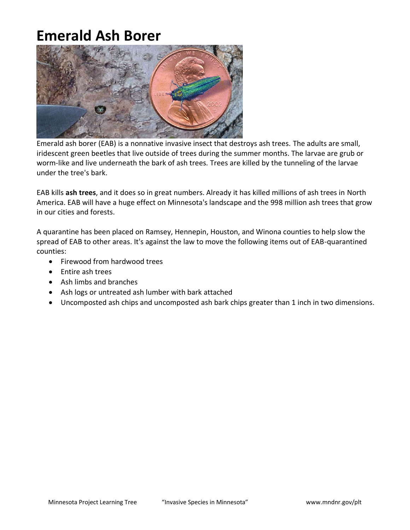# **Emerald Ash Borer**



Emerald ash borer (EAB) is a nonnative invasive insect that destroys ash trees. The adults are small, iridescent green beetles that live outside of trees during the summer months. The larvae are grub or worm-like and live underneath the bark of ash trees. Trees are killed by the tunneling of the larvae under the tree's bark.

EAB kills **ash trees**, and it does so in great numbers. Already it has killed millions of ash trees in North America. EAB will have a huge effect on Minnesota's landscape and the 998 million ash trees that grow in our cities and forests.

A quarantine has been placed on Ramsey, Hennepin, Houston, and Winona counties to help slow the spread of EAB to other areas. It's against the law to move the following items out of EAB-quarantined counties:

- Firewood from hardwood trees
- Entire ash trees
- Ash limbs and branches
- Ash logs or untreated ash lumber with bark attached
- Uncomposted ash chips and uncomposted ash bark chips greater than 1 inch in two dimensions.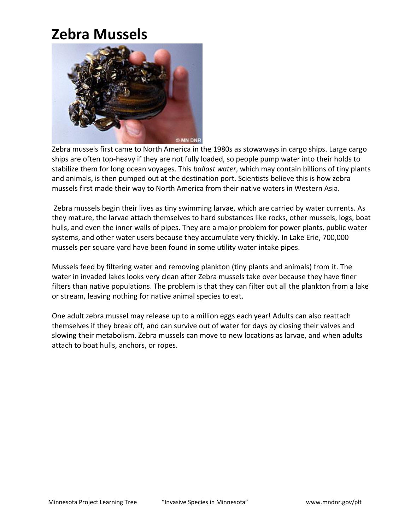### **Zebra Mussels**

![](_page_9_Picture_1.jpeg)

Zebra mussels first came to North America in the 1980s as stowaways in cargo ships. Large cargo ships are often top-heavy if they are not fully loaded, so people pump water into their holds to stabilize them for long ocean voyages. This *ballast water*, which may contain billions of tiny plants and animals, is then pumped out at the destination port. Scientists believe this is how zebra mussels first made their way to North America from their native waters in Western Asia.

Zebra mussels begin their lives as tiny swimming larvae, which are carried by water currents. As they mature, the larvae attach themselves to hard substances like rocks, other mussels, logs, boat hulls, and even the inner walls of pipes. They are a major problem for power plants, public water systems, and other water users because they accumulate very thickly. In Lake Erie, 700,000 mussels per square yard have been found in some utility water intake pipes.

Mussels feed by filtering water and removing plankton (tiny plants and animals) from it. The water in invaded lakes looks very clean after Zebra mussels take over because they have finer filters than native populations. The problem is that they can filter out all the plankton from a lake or stream, leaving nothing for native animal species to eat.

One adult zebra mussel may release up to a million eggs each year! Adults can also reattach themselves if they break off, and can survive out of water for days by closing their valves and slowing their metabolism. Zebra mussels can move to new locations as larvae, and when adults attach to boat hulls, anchors, or ropes.